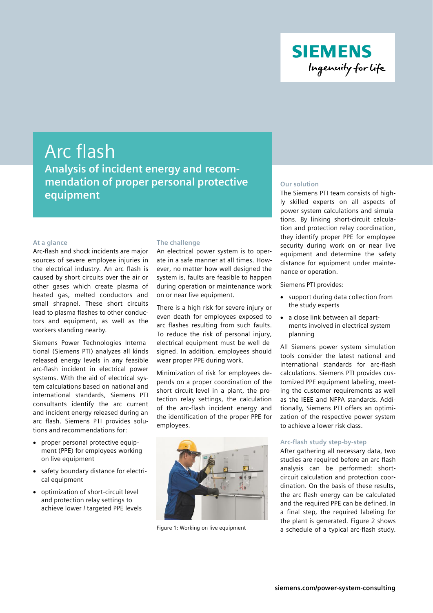

# Arc flash **Analysis of incident energy and recommendation of proper personal protective equipment**

#### **At a glance**

Arc-flash and shock incidents are major sources of severe employee injuries in the electrical industry. An arc flash is caused by short circuits over the air or other gases which create plasma of heated gas, melted conductors and small shrapnel. These short circuits lead to plasma flashes to other conductors and equipment, as well as the workers standing nearby.

Siemens Power Technologies International (Siemens PTI) analyzes all kinds released energy levels in any feasible arc-flash incident in electrical power systems. With the aid of electrical system calculations based on national and international standards, Siemens PTI consultants identify the arc current and incident energy released during an arc flash. Siemens PTI provides solutions and recommendations for:

- proper personal protective equipment (PPE) for employees working on live equipment
- safety boundary distance for electrical equipment
- optimization of short-circuit level and protection relay settings to achieve lower / targeted PPE levels

### **The challenge**

An electrical power system is to operate in a safe manner at all times. However, no matter how well designed the system is, faults are feasible to happen during operation or maintenance work on or near live equipment.

There is a high risk for severe injury or even death for employees exposed to arc flashes resulting from such faults. To reduce the risk of personal injury, electrical equipment must be well designed. In addition, employees should wear proper PPE during work.

Minimization of risk for employees depends on a proper coordination of the short circuit level in a plant, the protection relay settings, the calculation of the arc-flash incident energy and the identification of the proper PPE for employees.



Figure 1: Working on live equipment

# **Our solution**

The Siemens PTI team consists of highly skilled experts on all aspects of power system calculations and simulations. By linking short-circuit calculation and protection relay coordination, they identify proper PPE for employee security during work on or near live equipment and determine the safety distance for equipment under maintenance or operation.

Siemens PTI provides:

- support during data collection from the study experts
- a close link between all departments involved in electrical system planning

All Siemens power system simulation tools consider the latest national and international standards for arc-flash calculations. Siemens PTI provides customized PPE equipment labeling, meeting the customer requirements as well as the IEEE and NFPA standards. Additionally, Siemens PTI offers an optimization of the respective power system to achieve a lower risk class.

# **Arc-flash study step-by-step**

After gathering all necessary data, two studies are required before an arc-flash analysis can be performed: shortcircuit calculation and protection coordination. On the basis of these results, the arc-flash energy can be calculated and the required PPE can be defined. In a final step, the required labeling for the plant is generated. Figure 2 shows a schedule of a typical arc-flash study.